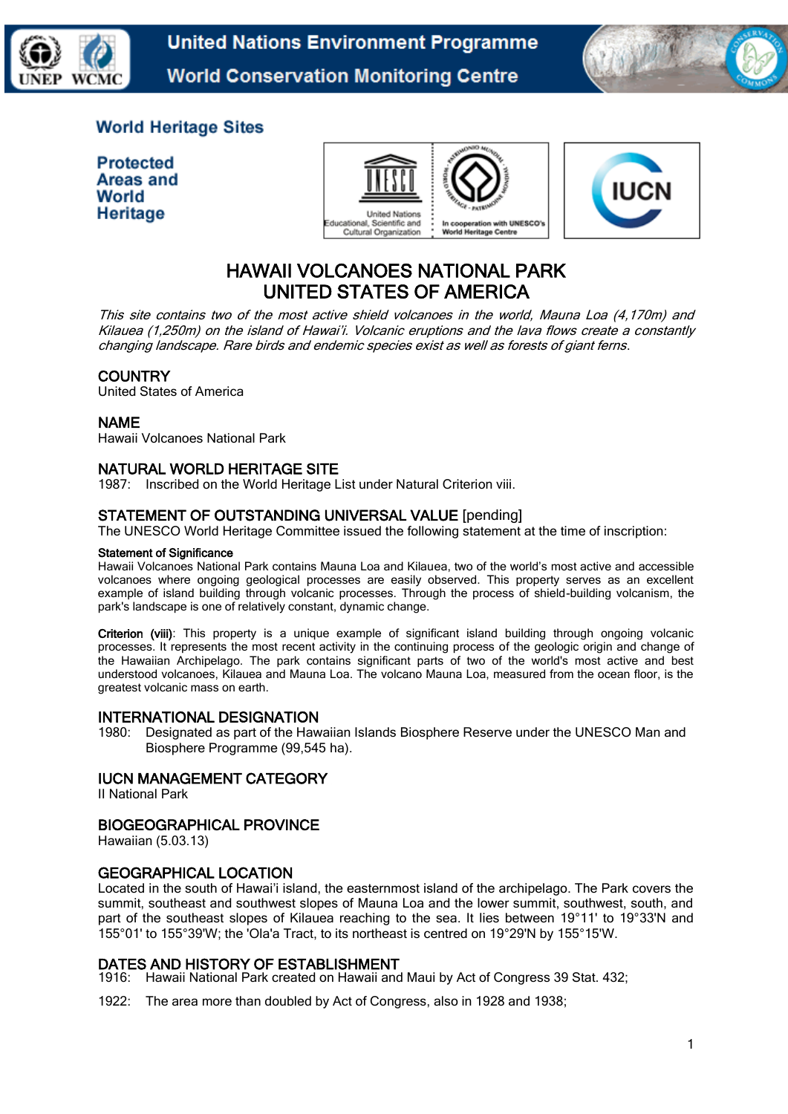

**United Nations Environment Programme World Conservation Monitoring Centre** 



## **World Heritage Sites**

| <b>Protected</b> |
|------------------|
| Areas and        |
| World            |
| <b>Heritage</b>  |





# HAWAII VOLCANOES NATIONAL PARK UNITED STATES OF AMERICA

This site contains two of the most active shield volcanoes in the world, Mauna Loa (4,170m) and Kilauea (1,250m) on the island of Hawai'i. Volcanic eruptions and the lava flows create a constantly changing landscape. Rare birds and endemic species exist as well as forests of giant ferns.

### **COUNTRY**

United States of America

### NAME

Hawaii Volcanoes National Park

### NATURAL WORLD HERITAGE SITE

1987: Inscribed on the World Heritage List under Natural Criterion viii.

### STATEMENT OF OUTSTANDING UNIVERSAL VALUE [pending]

The UNESCO World Heritage Committee issued the following statement at the time of inscription:

#### Statement of Significance

Hawaii Volcanoes National Park contains Mauna Loa and Kilauea, two of the world's most active and accessible volcanoes where ongoing geological processes are easily observed. This property serves as an excellent example of island building through volcanic processes. Through the process of shield-building volcanism, the park's landscape is one of relatively constant, dynamic change.

Criterion (viii): This property is a unique example of significant island building through ongoing volcanic processes. It represents the most recent activity in the continuing process of the geologic origin and change of the Hawaiian Archipelago. The park contains significant parts of two of the world's most active and best understood volcanoes, Kilauea and Mauna Loa. The volcano Mauna Loa, measured from the ocean floor, is the greatest volcanic mass on earth.

#### INTERNATIONAL DESIGNATION

1980: Designated as part of the Hawaiian Islands Biosphere Reserve under the UNESCO Man and Biosphere Programme (99,545 ha).

### IUCN MANAGEMENT CATEGORY

II National Park

#### BIOGEOGRAPHICAL PROVINCE

Hawaiian (5.03.13)

#### GEOGRAPHICAL LOCATION

Located in the south of Hawai'i island, the easternmost island of the archipelago. The Park covers the summit, southeast and southwest slopes of Mauna Loa and the lower summit, southwest, south, and part of the southeast slopes of Kilauea reaching to the sea. It lies between 19°11' to 19°33'N and 155°01' to 155°39'W; the 'Ola'a Tract, to its northeast is centred on 19°29'N by 155°15'W.

### DATES AND HISTORY OF ESTABLISHMENT

1916: Hawaii National Park created on Hawaii and Maui by Act of Congress 39 Stat. 432;

1922: The area more than doubled by Act of Congress, also in 1928 and 1938;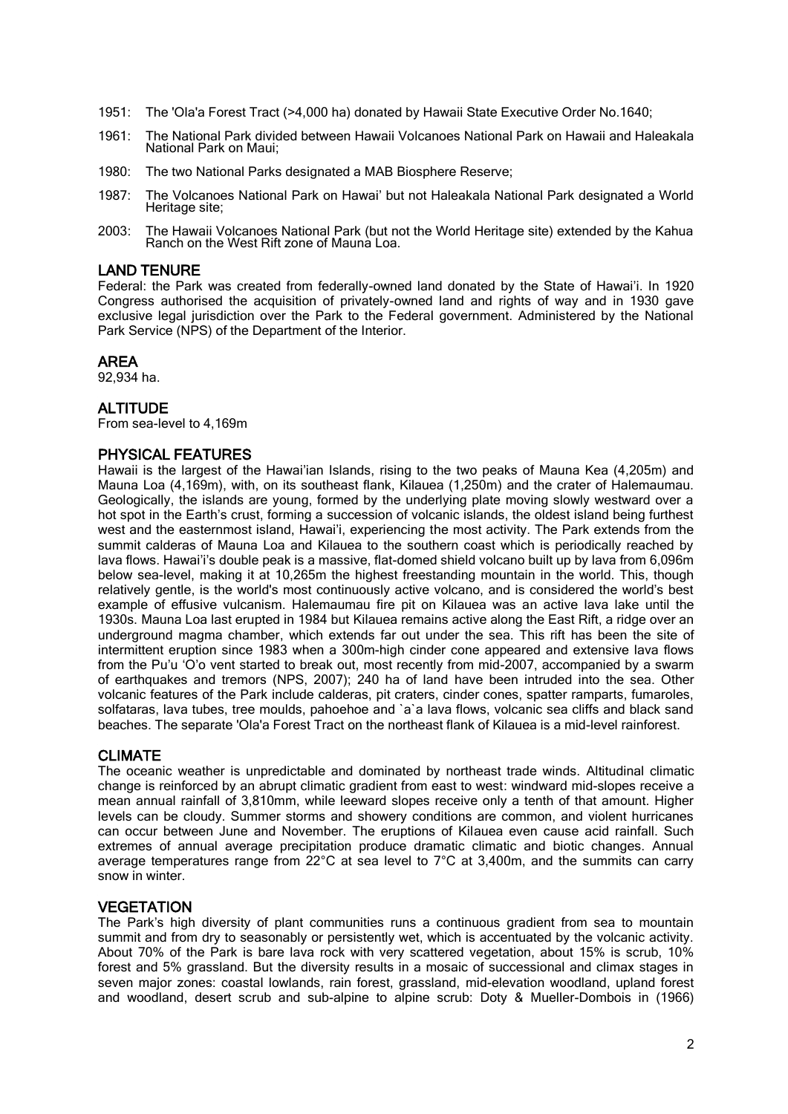- 1951: The 'Ola'a Forest Tract (>4,000 ha) donated by Hawaii State Executive Order No.1640;
- 1961: The National Park divided between Hawaii Volcanoes National Park on Hawaii and Haleakala National Park on Maui;
- 1980: The two National Parks designated a MAB Biosphere Reserve;
- 1987: The Volcanoes National Park on Hawai' but not Haleakala National Park designated a World Heritage site;
- 2003: The Hawaii Volcanoes National Park (but not the World Heritage site) extended by the Kahua Ranch on the West Rift zone of Maunà Loa.

#### LAND TENURE

Federal: the Park was created from federally-owned land donated by the State of Hawai'i. In 1920 Congress authorised the acquisition of privately-owned land and rights of way and in 1930 gave exclusive legal jurisdiction over the Park to the Federal government. Administered by the National Park Service (NPS) of the Department of the Interior.

#### AREA

92,934 ha.

#### **ALTITUDE**

From sea-level to 4,169m

#### PHYSICAL FEATURES

Hawaii is the largest of the Hawai'ian Islands, rising to the two peaks of Mauna Kea (4,205m) and Mauna Loa (4,169m), with, on its southeast flank, Kilauea (1,250m) and the crater of Halemaumau. Geologically, the islands are young, formed by the underlying plate moving slowly westward over a hot spot in the Earth's crust, forming a succession of volcanic islands, the oldest island being furthest west and the easternmost island, Hawai'i, experiencing the most activity. The Park extends from the summit calderas of Mauna Loa and Kilauea to the southern coast which is periodically reached by lava flows. Hawai'i's double peak is a massive, flat-domed shield volcano built up by lava from 6,096m below sea-level, making it at 10.265m the highest freestanding mountain in the world. This, though relatively gentle, is the world's most continuously active volcano, and is considered the world's best example of effusive vulcanism. Halemaumau fire pit on Kilauea was an active lava lake until the 1930s. Mauna Loa last erupted in 1984 but Kilauea remains active along the East Rift, a ridge over an underground magma chamber, which extends far out under the sea. This rift has been the site of intermittent eruption since 1983 when a 300m-high cinder cone appeared and extensive lava flows from the Pu'u 'O'o vent started to break out, most recently from mid-2007, accompanied by a swarm of earthquakes and tremors (NPS, 2007); 240 ha of land have been intruded into the sea. Other volcanic features of the Park include calderas, pit craters, cinder cones, spatter ramparts, fumaroles, solfataras, lava tubes, tree moulds, pahoehoe and `a`a lava flows, volcanic sea cliffs and black sand beaches. The separate 'Ola'a Forest Tract on the northeast flank of Kilauea is a mid-level rainforest.

#### CLIMATE

The oceanic weather is unpredictable and dominated by northeast trade winds. Altitudinal climatic change is reinforced by an abrupt climatic gradient from east to west: windward mid-slopes receive a mean annual rainfall of 3,810mm, while leeward slopes receive only a tenth of that amount. Higher levels can be cloudy. Summer storms and showery conditions are common, and violent hurricanes can occur between June and November. The eruptions of Kilauea even cause acid rainfall. Such extremes of annual average precipitation produce dramatic climatic and biotic changes. Annual average temperatures range from  $22^{\circ}$ C at sea level to  $7^{\circ}$ C at 3,400m, and the summits can carry snow in winter.

#### **VEGETATION**

The Park's high diversity of plant communities runs a continuous gradient from sea to mountain summit and from dry to seasonably or persistently wet, which is accentuated by the volcanic activity. About 70% of the Park is bare lava rock with very scattered vegetation, about 15% is scrub, 10% forest and 5% grassland. But the diversity results in a mosaic of successional and climax stages in seven major zones: coastal lowlands, rain forest, grassland, mid-elevation woodland, upland forest and woodland, desert scrub and sub-alpine to alpine scrub: Doty & Mueller-Dombois in (1966)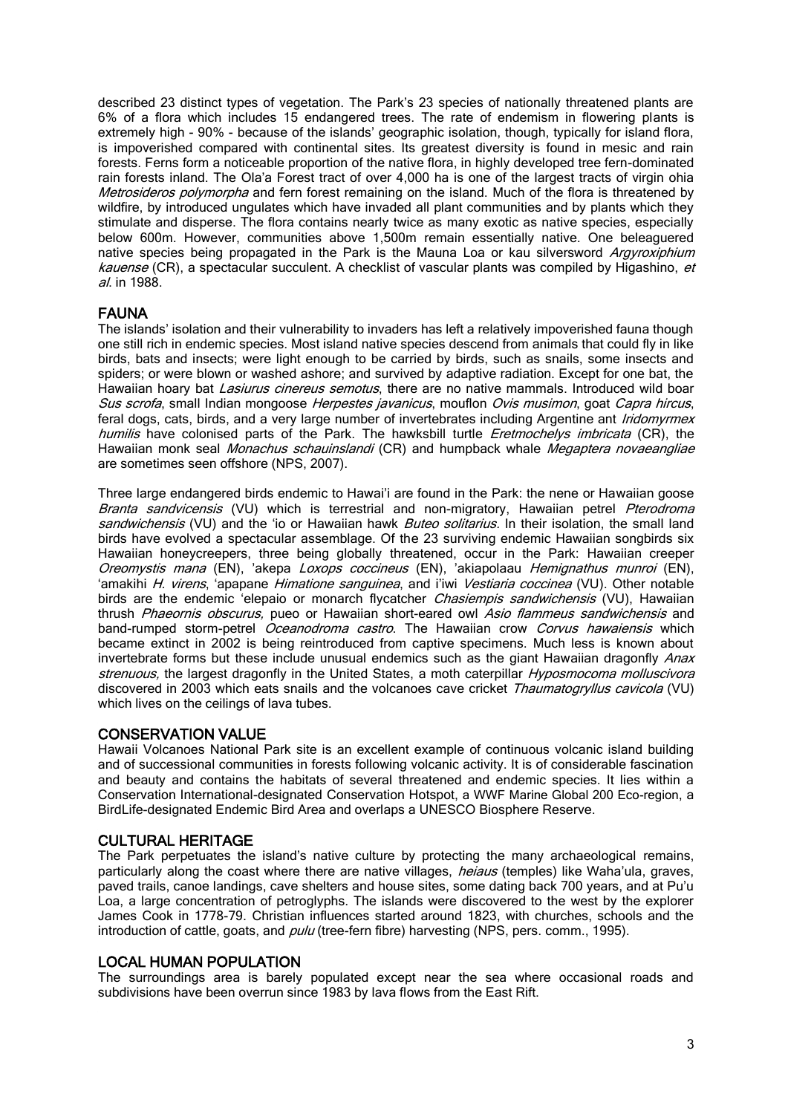described 23 distinct types of vegetation. The Park's 23 species of nationally threatened plants are 6% of a flora which includes 15 endangered trees. The rate of endemism in flowering plants is extremely high - 90% - because of the islands' geographic isolation, though, typically for island flora, is impoverished compared with continental sites. Its greatest diversity is found in mesic and rain forests. Ferns form a noticeable proportion of the native flora, in highly developed tree fern-dominated rain forests inland. The Ola'a Forest tract of over 4,000 ha is one of the largest tracts of virgin ohia Metrosideros polymorpha and fern forest remaining on the island. Much of the flora is threatened by wildfire, by introduced ungulates which have invaded all plant communities and by plants which they stimulate and disperse. The flora contains nearly twice as many exotic as native species, especially below 600m. However, communities above 1,500m remain essentially native. One beleaguered native species being propagated in the Park is the Mauna Loa or kau silversword Argyroxiphium kauense (CR), a spectacular succulent. A checklist of vascular plants was compiled by Higashino, et al. in 1988.

### FAUNA

The islands' isolation and their vulnerability to invaders has left a relatively impoverished fauna though one still rich in endemic species. Most island native species descend from animals that could fly in like birds, bats and insects; were light enough to be carried by birds, such as snails, some insects and spiders; or were blown or washed ashore; and survived by adaptive radiation. Except for one bat, the Hawaiian hoary bat *Lasiurus cinereus semotus*, there are no native mammals. Introduced wild boar Sus scrofa, small Indian mongoose Herpestes javanicus, mouflon Ovis musimon, goat Capra hircus, feral dogs, cats, birds, and a very large number of invertebrates including Argentine ant *Iridomyrmex* humilis have colonised parts of the Park. The hawksbill turtle *Eretmochelys imbricata* (CR), the Hawaiian monk seal Monachus schauinslandi (CR) and humpback whale Megaptera novaeangliae are sometimes seen offshore (NPS, 2007).

Three large endangered birds endemic to Hawai'i are found in the Park: the nene or Hawaiian goose Branta sandvicensis (VU) which is terrestrial and non-migratory, Hawaiian petrel Pterodroma sandwichensis (VU) and the 'io or Hawaiian hawk *Buteo solitarius*. In their isolation, the small land birds have evolved a spectacular assemblage. Of the 23 surviving endemic Hawaiian songbirds six Hawaiian honeycreepers, three being globally threatened, occur in the Park: Hawaiian creeper Oreomystis mana (EN), 'akepa Loxops coccineus (EN), 'akiapolaau Hemignathus munroi (EN), 'amakihi H. virens, 'apapane Himatione sanguinea, and i'iwi Vestiaria coccinea (VU). Other notable birds are the endemic 'elepaio or monarch flycatcher *Chasiempis sandwichensis* (VU), Hawaiian thrush Phaeornis obscurus, pueo or Hawaiian short-eared owl Asio flammeus sandwichensis and band-rumped storm-petrel *Oceanodroma castro*. The Hawaiian crow *Corvus hawaiensis* which became extinct in 2002 is being reintroduced from captive specimens. Much less is known about invertebrate forms but these include unusual endemics such as the giant Hawaiian dragonfly Anax strenuous, the largest dragonfly in the United States, a moth caterpillar *Hyposmocoma molluscivora* discovered in 2003 which eats snails and the volcanoes cave cricket Thaumatogryllus cavicola (VU) which lives on the ceilings of lava tubes.

#### CONSERVATION VALUE

Hawaii Volcanoes National Park site is an excellent example of continuous volcanic island building and of successional communities in forests following volcanic activity. It is of considerable fascination and beauty and contains the habitats of several threatened and endemic species. It lies within a Conservation International-designated Conservation Hotspot, a WWF Marine Global 200 Eco-region, a BirdLife-designated Endemic Bird Area and overlaps a UNESCO Biosphere Reserve.

#### CULTURAL HERITAGE

The Park perpetuates the island's native culture by protecting the many archaeological remains, particularly along the coast where there are native villages, *heiaus* (temples) like Waha'ula, graves, paved trails, canoe landings, cave shelters and house sites, some dating back 700 years, and at Pu'u Loa, a large concentration of petroglyphs. The islands were discovered to the west by the explorer James Cook in 1778-79. Christian influences started around 1823, with churches, schools and the introduction of cattle, goats, and  $p$ ulu (tree-fern fibre) harvesting (NPS, pers. comm., 1995).

### LOCAL HUMAN POPULATION

The surroundings area is barely populated except near the sea where occasional roads and subdivisions have been overrun since 1983 by lava flows from the East Rift.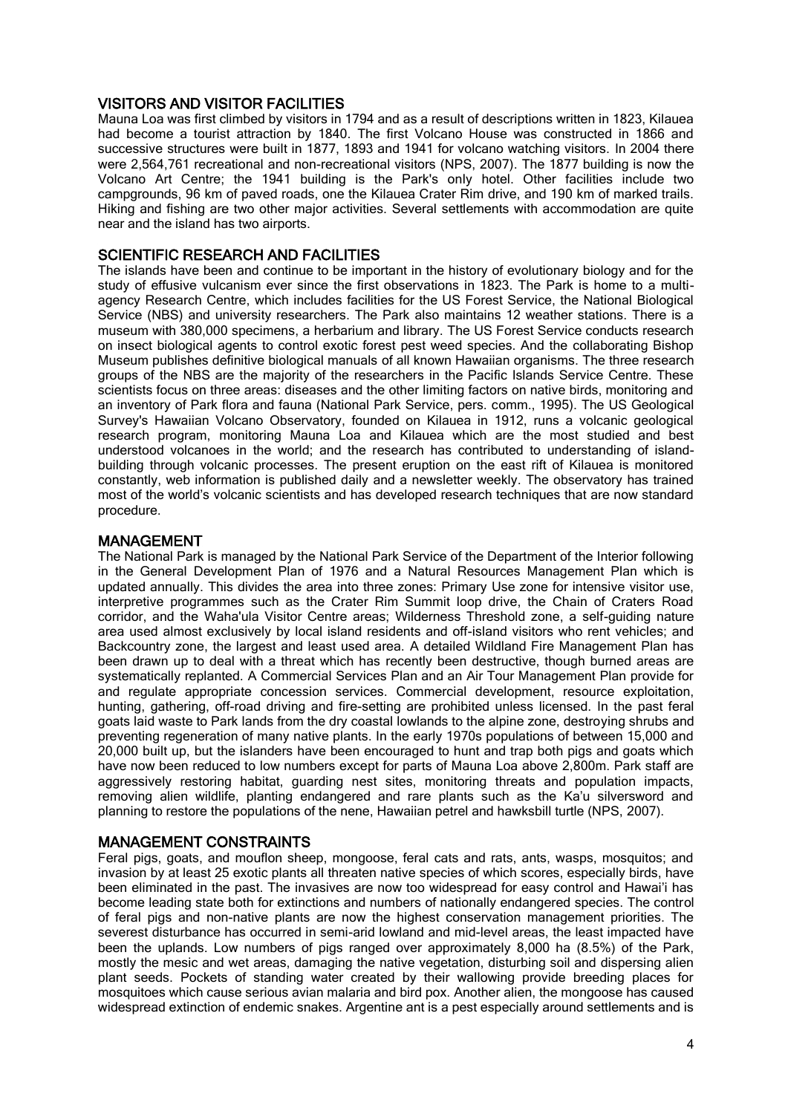### VISITORS AND VISITOR FACILITIES

Mauna Loa was first climbed by visitors in 1794 and as a result of descriptions written in 1823, Kilauea had become a tourist attraction by 1840. The first Volcano House was constructed in 1866 and successive structures were built in 1877, 1893 and 1941 for volcano watching visitors. In 2004 there were 2,564,761 recreational and non-recreational visitors (NPS, 2007). The 1877 building is now the Volcano Art Centre; the 1941 building is the Park's only hotel. Other facilities include two campgrounds, 96 km of paved roads, one the Kilauea Crater Rim drive, and 190 km of marked trails. Hiking and fishing are two other major activities. Several settlements with accommodation are quite near and the island has two airports.

### SCIENTIFIC RESEARCH AND FACILITIES

The islands have been and continue to be important in the history of evolutionary biology and for the study of effusive vulcanism ever since the first observations in 1823. The Park is home to a multiagency Research Centre, which includes facilities for the US Forest Service, the National Biological Service (NBS) and university researchers. The Park also maintains 12 weather stations. There is a museum with 380,000 specimens, a herbarium and library. The US Forest Service conducts research on insect biological agents to control exotic forest pest weed species. And the collaborating Bishop Museum publishes definitive biological manuals of all known Hawaiian organisms. The three research groups of the NBS are the majority of the researchers in the Pacific Islands Service Centre. These scientists focus on three areas: diseases and the other limiting factors on native birds, monitoring and an inventory of Park flora and fauna (National Park Service, pers. comm., 1995). The US Geological Survey's Hawaiian Volcano Observatory, founded on Kilauea in 1912, runs a volcanic geological research program, monitoring Mauna Loa and Kilauea which are the most studied and best understood volcanoes in the world; and the research has contributed to understanding of islandbuilding through volcanic processes. The present eruption on the east rift of Kilauea is monitored constantly, web information is published daily and a newsletter weekly. The observatory has trained most of the world's volcanic scientists and has developed research techniques that are now standard procedure.

### MANAGEMENT

The National Park is managed by the National Park Service of the Department of the Interior following in the General Development Plan of 1976 and a Natural Resources Management Plan which is updated annually. This divides the area into three zones: Primary Use zone for intensive visitor use, interpretive programmes such as the Crater Rim Summit loop drive, the Chain of Craters Road corridor, and the Waha'ula Visitor Centre areas; Wilderness Threshold zone, a self-guiding nature area used almost exclusively by local island residents and off-island visitors who rent vehicles; and Backcountry zone, the largest and least used area. A detailed Wildland Fire Management Plan has been drawn up to deal with a threat which has recently been destructive, though burned areas are systematically replanted. A Commercial Services Plan and an Air Tour Management Plan provide for and regulate appropriate concession services. Commercial development, resource exploitation, hunting, gathering, off-road driving and fire-setting are prohibited unless licensed. In the past feral goats laid waste to Park lands from the dry coastal lowlands to the alpine zone, destroying shrubs and preventing regeneration of many native plants. In the early 1970s populations of between 15,000 and 20,000 built up, but the islanders have been encouraged to hunt and trap both pigs and goats which have now been reduced to low numbers except for parts of Mauna Loa above 2,800m. Park staff are aggressively restoring habitat, guarding nest sites, monitoring threats and population impacts, removing alien wildlife, planting endangered and rare plants such as the Ka'u silversword and planning to restore the populations of the nene, Hawaiian petrel and hawksbill turtle (NPS, 2007).

### MANAGEMENT CONSTRAINTS

Feral pigs, goats, and mouflon sheep, mongoose, feral cats and rats, ants, wasps, mosquitos; and invasion by at least 25 exotic plants all threaten native species of which scores, especially birds, have been eliminated in the past. The invasives are now too widespread for easy control and Hawai'i has become leading state both for extinctions and numbers of nationally endangered species. The control of feral pigs and non-native plants are now the highest conservation management priorities. The severest disturbance has occurred in semi-arid lowland and mid-level areas, the least impacted have been the uplands. Low numbers of pigs ranged over approximately 8,000 ha (8.5%) of the Park, mostly the mesic and wet areas, damaging the native vegetation, disturbing soil and dispersing alien plant seeds. Pockets of standing water created by their wallowing provide breeding places for mosquitoes which cause serious avian malaria and bird pox. Another alien, the mongoose has caused widespread extinction of endemic snakes. Argentine ant is a pest especially around settlements and is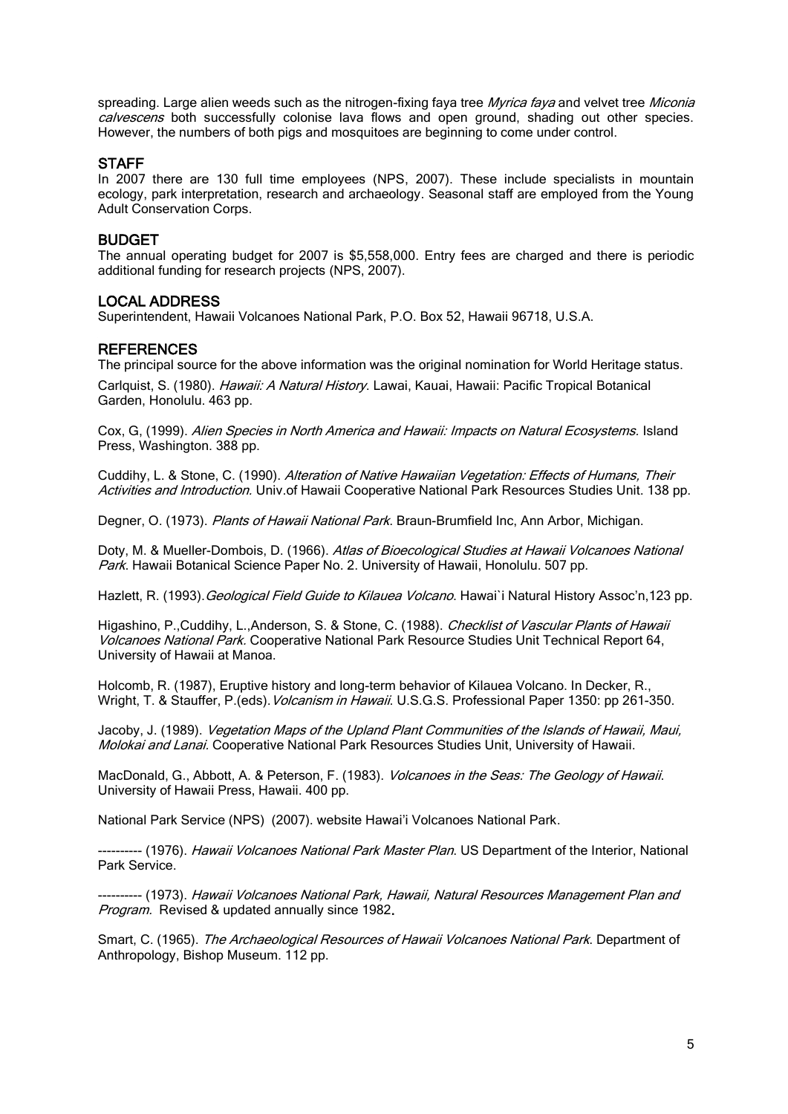spreading. Large alien weeds such as the nitrogen-fixing faya tree Myrica faya and velvet tree Miconia calvescens both successfully colonise lava flows and open ground, shading out other species. However, the numbers of both pigs and mosquitoes are beginning to come under control.

#### **STAFF**

In 2007 there are 130 full time employees (NPS, 2007). These include specialists in mountain ecology, park interpretation, research and archaeology. Seasonal staff are employed from the Young Adult Conservation Corps.

#### BUDGET

The annual operating budget for 2007 is \$5,558,000. Entry fees are charged and there is periodic additional funding for research projects (NPS, 2007).

#### LOCAL ADDRESS

Superintendent, Hawaii Volcanoes National Park, P.O. Box 52, Hawaii 96718, U.S.A.

#### **REFERENCES**

The principal source for the above information was the original nomination for World Heritage status.

Carlquist, S. (1980). Hawaii: A Natural History. Lawai, Kauai, Hawaii: Pacific Tropical Botanical Garden, Honolulu. 463 pp.

Cox, G, (1999). Alien Species in North America and Hawaii: Impacts on Natural Ecosystems. Island Press, Washington. 388 pp.

Cuddihy, L. & Stone, C. (1990). Alteration of Native Hawaiian Vegetation: Effects of Humans, Their Activities and Introduction. Univ.of Hawaii Cooperative National Park Resources Studies Unit. 138 pp.

Degner, O. (1973). Plants of Hawaii National Park. Braun-Brumfield Inc, Ann Arbor, Michigan.

Doty, M. & Mueller-Dombois, D. (1966). Atlas of Bioecological Studies at Hawaii Volcanoes National Park. Hawaii Botanical Science Paper No. 2. University of Hawaii, Honolulu. 507 pp.

Hazlett, R. (1993). Geological Field Guide to Kilauea Volcano. Hawai`i Natural History Assoc'n,123 pp.

Higashino, P., Cuddihy, L., Anderson, S. & Stone, C. (1988). Checklist of Vascular Plants of Hawaii Volcanoes National Park. Cooperative National Park Resource Studies Unit Technical Report 64, University of Hawaii at Manoa.

Holcomb, R. (1987), Eruptive history and long-term behavior of Kilauea Volcano. In Decker, R., Wright, T. & Stauffer, P.(eds). Volcanism in Hawaii. U.S.G.S. Professional Paper 1350: pp 261-350.

Jacoby, J. (1989). Vegetation Maps of the Upland Plant Communities of the Islands of Hawaii, Maui, Molokai and Lanai. Cooperative National Park Resources Studies Unit, University of Hawaii.

MacDonald, G., Abbott, A. & Peterson, F. (1983). Volcanoes in the Seas: The Geology of Hawaii. University of Hawaii Press, Hawaii. 400 pp.

National Park Service (NPS) (2007). website [Hawai'i Volcanoes National Park](http://www.nps.gov/havo/).

---------- (1976). *Hawaii Volcanoes National Park Master Plan*. US Department of the Interior, National Park Service.

---------- (1973). Hawaii Volcanoes National Park, Hawaii, Natural Resources Management Plan and Program. Revised & updated annually since 1982.

Smart, C. (1965). The Archaeological Resources of Hawaii Volcanoes National Park. Department of Anthropology, Bishop Museum. 112 pp.